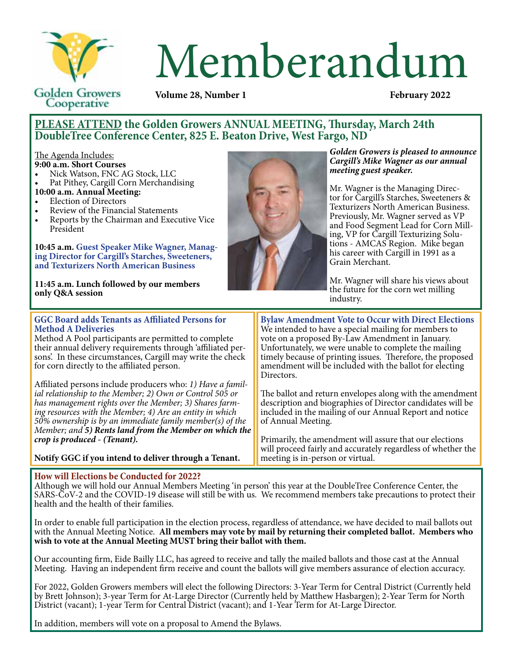

# Memberandum

**Volume 28, Number 1** 

# **PLEASE ATTEND the Golden Growers ANNUAL MEETING, Thursday, March 24th DoubleTree Conference Center, 825 E. Beaton Drive, West Fargo, ND**

The Agenda Includes:

- **9:00 a.m. Short Courses**
- Nick Watson, FNC AG Stock, LLC
- Pat Pithey, Cargill Corn Merchandising
- **10:00 a.m. Annual Meeting:**
- **Election of Directors**

**only Q&A session**

- Review of the Financial Statements
- Reports by the Chairman and Executive Vice President

**10:45 a.m. Guest Speaker Mike Wagner, Managing Director for Cargill's Starches, Sweeteners, and Texturizers North American Business**

**11:45 a.m. Lunch followed by our members** 



*Golden Growers is pleased to announce Cargill's Mike Wagner as our annual meeting guest speaker.*

Mr. Wagner is the Managing Director for Cargill's Starches, Sweeteners & Texturizers North American Business. Previously, Mr. Wagner served as VP and Food Segment Lead for Corn Milling, VP for Cargill Texturizing Solutions - AMCAS Region. Mike began his career with Cargill in 1991 as a Grain Merchant.

Mr. Wagner will share his views about the future for the corn wet milling industry.

The ballot and return envelopes along with the amendment description and biographies of Director candidates will be included in the mailing of our Annual Report and notice

Primarily, the amendment will assure that our elections will proceed fairly and accurately regardless of whether the

### **GGC Board adds Tenants as Affiliated Persons for Method A Deliveries** Method A Pool participants are permitted to complete their annual delivery requirements through 'affiliated persons'. In these circumstances, Cargill may write the check for corn directly to the affiliated person. **Bylaw Amendment Vote to Occur with Direct Elections** We intended to have a special mailing for members to vote on a proposed By-Law Amendment in January. Unfortunately, we were unable to complete the mailing timely because of printing issues. Therefore, the proposed amendment will be included with the ballot for electing Directors.

Affiliated persons include producers who: *1) Have a famil- ial relationship to the Member; 2) Own or Control 505 or has management rights over the Member; 3) Shares farm- ing resources with the Member; 4) Are an entity in which 50% ownership is by an immediate family member(s) of the Member; and 5) Rents land from the Member on which the crop is produced - (Tenant).* 

**Notify GGC if you intend to deliver through a Tenant.**

## **How will Elections be Conducted for 2022?**

Although we will hold our Annual Members Meeting 'in person' this year at the DoubleTree Conference Center, the SARS-CoV-2 and the COVID-19 disease will still be with us. We recommend members take precautions to protect their health and the health of their families.

of Annual Meeting.

meeting is in-person or virtual.

In order to enable full participation in the election process, regardless of attendance, we have decided to mail ballots out with the Annual Meeting Notice. **All members may vote by mail by returning their completed ballot. Members who wish to vote at the Annual Meeting MUST bring their ballot with them.**

Our accounting firm, Eide Bailly LLC, has agreed to receive and tally the mailed ballots and those cast at the Annual Meeting. Having an independent firm receive and count the ballots will give members assurance of election accuracy.

For 2022, Golden Growers members will elect the following Directors: 3-Year Term for Central District (Currently held by Brett Johnson); 3-year Term for At-Large Director (Currently held by Matthew Hasbargen); 2-Year Term for North District (vacant); 1-year Term for Central District (vacant); and 1-Year Term for At-Large Director.

In addition, members will vote on a proposal to Amend the Bylaws.